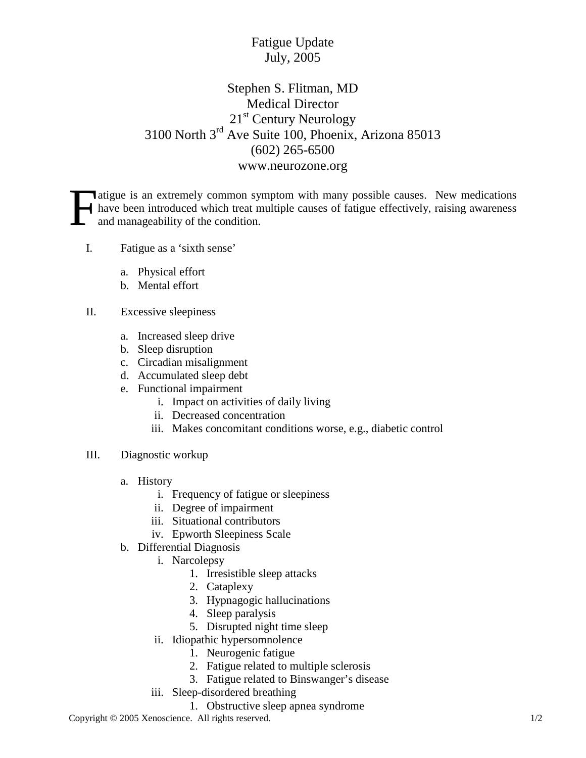## Fatigue Update July, 2005

## Stephen S. Flitman, MD Medical Director 21<sup>st</sup> Century Neurology 3100 North 3rd Ave Suite 100, Phoenix, Arizona 85013 (602) 265-6500 www.neurozone.org

Atigue is an extremely common symptom with many possible causes. New medications have been introduced which treat multiple causes of fatigue effectively, raising awareness and manageability of the condition. F

- I. Fatigue as a 'sixth sense'
	- a. Physical effort
	- b. Mental effort
- II. Excessive sleepiness
	- a. Increased sleep drive
	- b. Sleep disruption
	- c. Circadian misalignment
	- d. Accumulated sleep debt
	- e. Functional impairment
		- i. Impact on activities of daily living
		- ii. Decreased concentration
		- iii. Makes concomitant conditions worse, e.g., diabetic control
- III. Diagnostic workup
	- a. History
		- i. Frequency of fatigue or sleepiness
		- ii. Degree of impairment
		- iii. Situational contributors
		- iv. Epworth Sleepiness Scale
	- b. Differential Diagnosis
		- i. Narcolepsy
			- 1. Irresistible sleep attacks
			- 2. Cataplexy
			- 3. Hypnagogic hallucinations
			- 4. Sleep paralysis
			- 5. Disrupted night time sleep
		- ii. Idiopathic hypersomnolence
			- 1. Neurogenic fatigue
			- 2. Fatigue related to multiple sclerosis
			- 3. Fatigue related to Binswanger's disease
		- iii. Sleep-disordered breathing
			- 1. Obstructive sleep apnea syndrome

Copyright © 2005 Xenoscience. All rights reserved. 1/2